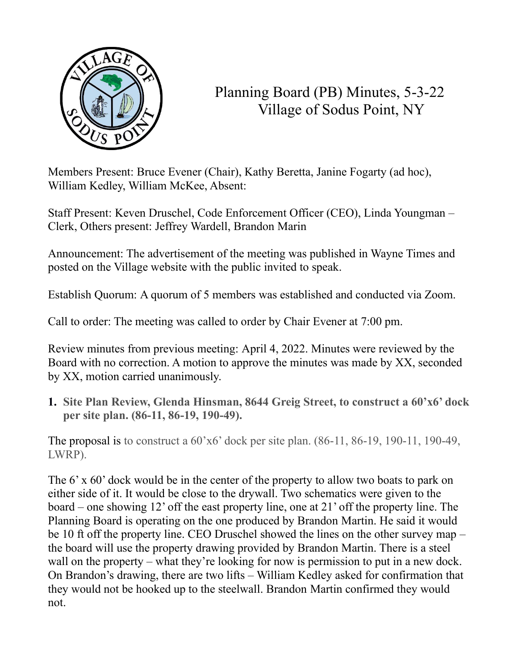

## Planning Board (PB) Minutes, 5-3-22 Village of Sodus Point, NY

Members Present: Bruce Evener (Chair), Kathy Beretta, Janine Fogarty (ad hoc), William Kedley, William McKee, Absent:

Staff Present: Keven Druschel, Code Enforcement Officer (CEO), Linda Youngman – Clerk, Others present: Jeffrey Wardell, Brandon Marin

Announcement: The advertisement of the meeting was published in Wayne Times and posted on the Village website with the public invited to speak.

Establish Quorum: A quorum of 5 members was established and conducted via Zoom.

Call to order: The meeting was called to order by Chair Evener at 7:00 pm.

Review minutes from previous meeting: April 4, 2022. Minutes were reviewed by the Board with no correction. A motion to approve the minutes was made by XX, seconded by XX, motion carried unanimously.

**1. Site Plan Review, Glenda Hinsman, 8644 Greig Street, to construct a 60'x6' dock per site plan. (86-11, 86-19, 190-49).**

The proposal is to construct a 60'x6' dock per site plan. (86-11, 86-19, 190-11, 190-49, LWRP).

The 6' x 60' dock would be in the center of the property to allow two boats to park on either side of it. It would be close to the drywall. Two schematics were given to the board – one showing 12' off the east property line, one at 21' off the property line. The Planning Board is operating on the one produced by Brandon Martin. He said it would be 10 ft off the property line. CEO Druschel showed the lines on the other survey map – the board will use the property drawing provided by Brandon Martin. There is a steel wall on the property – what they're looking for now is permission to put in a new dock. On Brandon's drawing, there are two lifts – William Kedley asked for confirmation that they would not be hooked up to the steelwall. Brandon Martin confirmed they would not.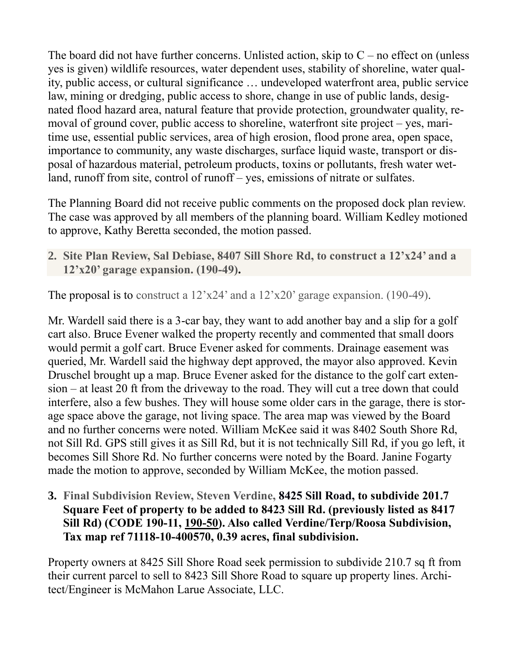The board did not have further concerns. Unlisted action, skip to  $C$  – no effect on (unless yes is given) wildlife resources, water dependent uses, stability of shoreline, water quality, public access, or cultural significance … undeveloped waterfront area, public service law, mining or dredging, public access to shore, change in use of public lands, designated flood hazard area, natural feature that provide protection, groundwater quality, removal of ground cover, public access to shoreline, waterfront site project – yes, maritime use, essential public services, area of high erosion, flood prone area, open space, importance to community, any waste discharges, surface liquid waste, transport or disposal of hazardous material, petroleum products, toxins or pollutants, fresh water wetland, runoff from site, control of runoff – yes, emissions of nitrate or sulfates.

The Planning Board did not receive public comments on the proposed dock plan review. The case was approved by all members of the planning board. William Kedley motioned to approve, Kathy Beretta seconded, the motion passed.

**2. Site Plan Review, Sal Debiase, 8407 Sill Shore Rd, to construct a 12'x24' and a 12'x20' garage expansion. (190-49).**

The proposal is to construct a  $12^{\circ}x24^{\circ}$  and a  $12^{\circ}x20^{\circ}$  garage expansion. (190-49).

Mr. Wardell said there is a 3-car bay, they want to add another bay and a slip for a golf cart also. Bruce Evener walked the property recently and commented that small doors would permit a golf cart. Bruce Evener asked for comments. Drainage easement was queried, Mr. Wardell said the highway dept approved, the mayor also approved. Kevin Druschel brought up a map. Bruce Evener asked for the distance to the golf cart extension – at least 20 ft from the driveway to the road. They will cut a tree down that could interfere, also a few bushes. They will house some older cars in the garage, there is storage space above the garage, not living space. The area map was viewed by the Board and no further concerns were noted. William McKee said it was 8402 South Shore Rd, not Sill Rd. GPS still gives it as Sill Rd, but it is not technically Sill Rd, if you go left, it becomes Sill Shore Rd. No further concerns were noted by the Board. Janine Fogarty made the motion to approve, seconded by William McKee, the motion passed.

**3. Final Subdivision Review, Steven Verdine, 8425 Sill Road, to subdivide 201.7 Square Feet of property to be added to 8423 Sill Rd. (previously listed as 8417 Sill Rd) (CODE 190-11, 190-50). Also called Verdine/Terp/Roosa Subdivision, Tax map ref 71118-10-400570, 0.39 acres, final subdivision.**

Property owners at 8425 Sill Shore Road seek permission to subdivide 210.7 sq ft from their current parcel to sell to 8423 Sill Shore Road to square up property lines. Architect/Engineer is McMahon Larue Associate, LLC.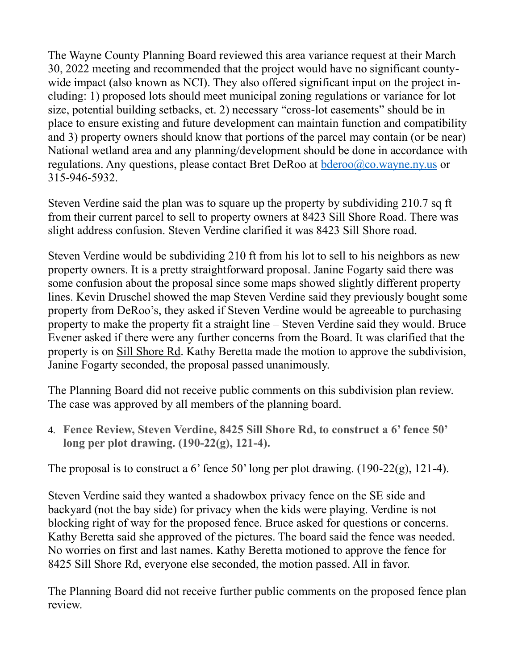The Wayne County Planning Board reviewed this area variance request at their March 30, 2022 meeting and recommended that the project would have no significant countywide impact (also known as NCI). They also offered significant input on the project including: 1) proposed lots should meet municipal zoning regulations or variance for lot size, potential building setbacks, et. 2) necessary "cross-lot easements" should be in place to ensure existing and future development can maintain function and compatibility and 3) property owners should know that portions of the parcel may contain (or be near) National wetland area and any planning/development should be done in accordance with regulations. Any questions, please contact Bret DeRoo at [bderoo@co.wayne.ny.us](mailto:bderoo@co.wayne.ny.us) or 315-946-5932.

Steven Verdine said the plan was to square up the property by subdividing 210.7 sq ft from their current parcel to sell to property owners at 8423 Sill Shore Road. There was slight address confusion. Steven Verdine clarified it was 8423 Sill Shore road.

Steven Verdine would be subdividing 210 ft from his lot to sell to his neighbors as new property owners. It is a pretty straightforward proposal. Janine Fogarty said there was some confusion about the proposal since some maps showed slightly different property lines. Kevin Druschel showed the map Steven Verdine said they previously bought some property from DeRoo's, they asked if Steven Verdine would be agreeable to purchasing property to make the property fit a straight line – Steven Verdine said they would. Bruce Evener asked if there were any further concerns from the Board. It was clarified that the property is on Sill Shore Rd. Kathy Beretta made the motion to approve the subdivision, Janine Fogarty seconded, the proposal passed unanimously.

The Planning Board did not receive public comments on this subdivision plan review. The case was approved by all members of the planning board.

4. **Fence Review, Steven Verdine, 8425 Sill Shore Rd, to construct a 6' fence 50' long per plot drawing. (190-22(g), 121-4).**

The proposal is to construct a 6' fence 50' long per plot drawing.  $(190-22(g), 121-4)$ .

Steven Verdine said they wanted a shadowbox privacy fence on the SE side and backyard (not the bay side) for privacy when the kids were playing. Verdine is not blocking right of way for the proposed fence. Bruce asked for questions or concerns. Kathy Beretta said she approved of the pictures. The board said the fence was needed. No worries on first and last names. Kathy Beretta motioned to approve the fence for 8425 Sill Shore Rd, everyone else seconded, the motion passed. All in favor.

The Planning Board did not receive further public comments on the proposed fence plan review.